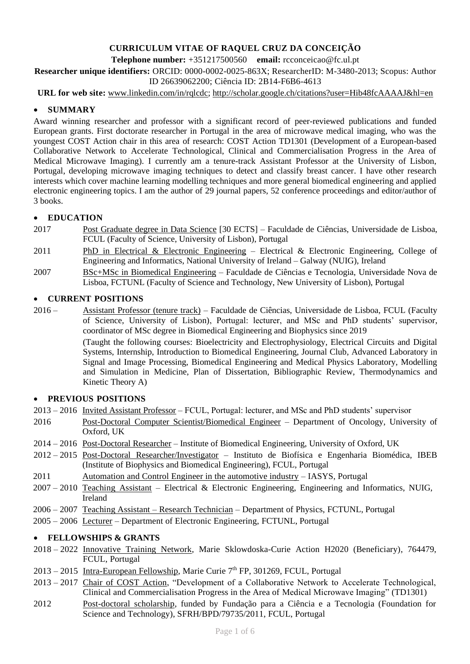# **CURRICULUM VITAE OF RAQUEL CRUZ DA CONCEIÇÃO**

**Telephone number:** +351217500560 **email:** rcconceicao@fc.ul.pt

**Researcher unique identifiers:** ORCID: 0000-0002-0025-863X; ResearcherID: M-3480-2013; Scopus: Author ID 26639062200; Ciência ID: 2B14-F6B6-4613

**URL for web site:** [www.linkedin.com/in/rqlcdc;](http://www.linkedin.com/in/rqlcdc)<http://scholar.google.ch/citations?user=Hib48fcAAAAJ&hl=en>

## • **SUMMARY**

Award winning researcher and professor with a significant record of peer-reviewed publications and funded European grants. First doctorate researcher in Portugal in the area of microwave medical imaging, who was the youngest COST Action chair in this area of research: COST Action TD1301 (Development of a European-based Collaborative Network to Accelerate Technological, Clinical and Commercialisation Progress in the Area of Medical Microwave Imaging). I currently am a tenure-track Assistant Professor at the University of Lisbon, Portugal, developing microwave imaging techniques to detect and classify breast cancer. I have other research interests which cover machine learning modelling techniques and more general biomedical engineering and applied electronic engineering topics. I am the author of 29 journal papers, 52 conference proceedings and editor/author of 3 books.

## • **EDUCATION**

- 2017 Post Graduate degree in Data Science [30 ECTS] Faculdade de Ciências, Universidade de Lisboa, FCUL (Faculty of Science, University of Lisbon), Portugal
- 2011 PhD in Electrical & Electronic Engineering Electrical & Electronic Engineering, College of Engineering and Informatics, National University of Ireland – Galway (NUIG), Ireland
- 2007 BSc+MSc in Biomedical Engineering Faculdade de Ciências e Tecnologia, Universidade Nova de Lisboa, FCTUNL (Faculty of Science and Technology, New University of Lisbon), Portugal

## • **CURRENT POSITIONS**

2016 – Assistant Professor (tenure track) – Faculdade de Ciências, Universidade de Lisboa, FCUL (Faculty of Science, University of Lisbon), Portugal: lecturer, and MSc and PhD students' supervisor, coordinator of MSc degree in Biomedical Engineering and Biophysics since 2019 (Taught the following courses: Bioelectricity and Electrophysiology, Electrical Circuits and Digital Systems, Internship, Introduction to Biomedical Engineering, Journal Club, Advanced Laboratory in Signal and Image Processing, Biomedical Engineering and Medical Physics Laboratory, Modelling and Simulation in Medicine, Plan of Dissertation, Bibliographic Review, Thermodynamics and Kinetic Theory A)

## • **PREVIOUS POSITIONS**

2013 – 2016 Invited Assistant Professor – FCUL, Portugal: lecturer, and MSc and PhD students' supervisor

- 2016 Post-Doctoral Computer Scientist/Biomedical Engineer Department of Oncology, University of Oxford, UK
- 2014 2016 Post-Doctoral Researcher Institute of Biomedical Engineering, University of Oxford, UK
- 2012 2015 Post-Doctoral Researcher/Investigator Instituto de Biofísica e Engenharia Biomédica, IBEB (Institute of Biophysics and Biomedical Engineering), FCUL, Portugal
- 2011 Automation and Control Engineer in the automotive industry IASYS, Portugal
- 2007 2010 Teaching Assistant Electrical & Electronic Engineering, Engineering and Informatics, NUIG, Ireland
- 2006 2007 Teaching Assistant Research Technician Department of Physics, FCTUNL, Portugal
- 2005 2006 Lecturer Department of Electronic Engineering, FCTUNL, Portugal

## • **FELLOWSHIPS & GRANTS**

- 2018 2022 Innovative Training Network, Marie Sklowdoska-Curie Action H2020 (Beneficiary), 764479, FCUL, Portugal
- 2013 2015 Intra-European Fellowship, Marie Curie 7<sup>th</sup> FP, 301269, FCUL, Portugal
- 2013 2017 Chair of COST Action, "Development of a Collaborative Network to Accelerate Technological, Clinical and Commercialisation Progress in the Area of Medical Microwave Imaging" (TD1301)
- 2012 Post-doctoral scholarship, funded by Fundação para a Ciência e a Tecnologia (Foundation for Science and Technology), SFRH/BPD/79735/2011, FCUL, Portugal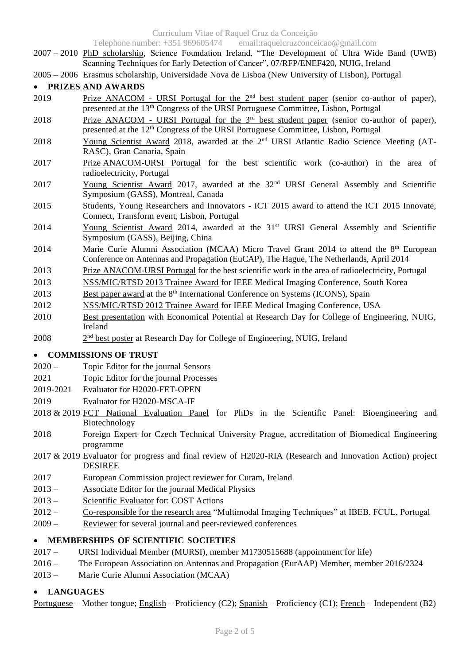Curriculum Vitae of Raquel Cruz da Conceição

Telephone number: +351 969605474 email:raquelcruzconceicao@gmail.com

- 2007 2010 PhD scholarship, Science Foundation Ireland, "The Development of Ultra Wide Band (UWB) Scanning Techniques for Early Detection of Cancer", 07/RFP/ENEF420, NUIG, Ireland
- 2005 2006 Erasmus scholarship, Universidade Nova de Lisboa (New University of Lisbon), Portugal

## • **PRIZES AND AWARDS**

- 2019 Prize ANACOM URSI Portugal for the 2<sup>nd</sup> best student paper (senior co-author of paper), presented at the 13<sup>th</sup> Congress of the URSI Portuguese Committee, Lisbon, Portugal
- 2018 Prize ANACOM URSI Portugal for the 3<sup>rd</sup> best student paper (senior co-author of paper), presented at the 12<sup>th</sup> Congress of the URSI Portuguese Committee, Lisbon, Portugal
- 2018 Young Scientist Award 2018, awarded at the 2<sup>nd</sup> URSI Atlantic Radio Science Meeting (AT-RASC), Gran Canaria, Spain
- 2017 Prize ANACOM-URSI Portugal for the best scientific work (co-author) in the area of radioelectricity, Portugal
- 2017 Young Scientist Award 2017, awarded at the 32<sup>nd</sup> URSI General Assembly and Scientific Symposium (GASS), Montreal, Canada
- 2015 Students, Young Researchers and Innovators ICT 2015 award to attend the ICT 2015 Innovate, Connect, Transform event, Lisbon, Portugal
- 2014 Young Scientist Award 2014, awarded at the 31<sup>st</sup> URSI General Assembly and Scientific Symposium (GASS), Beijing, China
- 2014 Marie Curie Alumni Association (MCAA) Micro Travel Grant 2014 to attend the  $8<sup>th</sup>$  European Conference on Antennas and Propagation (EuCAP), The Hague, The Netherlands, April 2014
- 2013 Prize ANACOM-URSI Portugal for the best scientific work in the area of radioelectricity, Portugal
- 2013 NSS/MIC/RTSD 2013 Trainee Award for IEEE Medical Imaging Conference, South Korea
- 2013 Best paper award at the 8<sup>th</sup> International Conference on Systems (ICONS), Spain
- 2012 NSS/MIC/RTSD 2012 Trainee Award for IEEE Medical Imaging Conference, USA
- 2010 Best presentation with Economical Potential at Research Day for College of Engineering, NUIG, Ireland
- 2008  $2<sup>nd</sup>$  best poster at Research Day for College of Engineering, NUIG, Ireland

## • **COMMISSIONS OF TRUST**

- 2020 Topic Editor for the journal Sensors
- 2021 Topic Editor for the journal Processes
- 2019-2021 Evaluator for H2020-FET-OPEN
- 2019 Evaluator for H2020-MSCA-IF
- 2018 & 2019 FCT National Evaluation Panel for PhDs in the Scientific Panel: Bioengineering and Biotechnology
- 2018 Foreign Expert for Czech Technical University Prague, accreditation of Biomedical Engineering programme
- 2017 & 2019 Evaluator for progress and final review of H2020-RIA (Research and Innovation Action) project DESIREE
- 2017 European Commission project reviewer for Curam, Ireland
- 2013 Associate Editor for the journal Medical Physics
- 2013 Scientific Evaluator for: COST Actions
- 2012 Co-responsible for the research area "Multimodal Imaging Techniques" at IBEB, FCUL, Portugal
- 2009 Reviewer for several journal and peer-reviewed conferences

## • **MEMBERSHIPS OF SCIENTIFIC SOCIETIES**

- 2017 URSI Individual Member (MURSI), member M1730515688 (appointment for life)
- 2016 The European Association on Antennas and Propagation (EurAAP) Member, member 2016/2324
- 2013 Marie Curie Alumni Association (MCAA)

## • **LANGUAGES**

Portuguese – Mother tongue; English – Proficiency (C2); Spanish – Proficiency (C1); French – Independent (B2)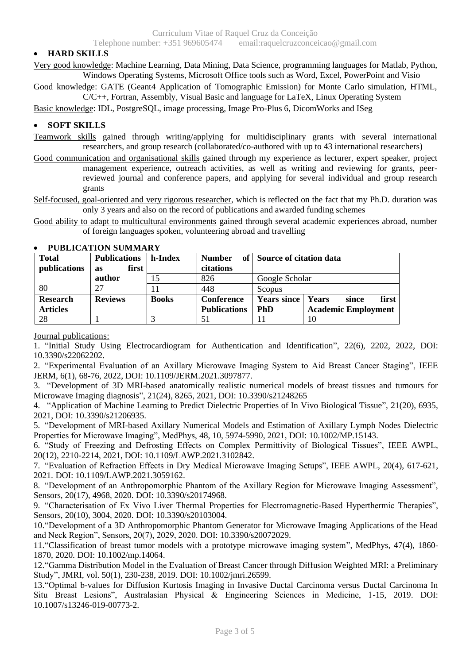## • **HARD SKILLS**

Very good knowledge: Machine Learning, Data Mining, Data Science, programming languages for Matlab, Python, Windows Operating Systems, Microsoft Office tools such as Word, Excel, PowerPoint and Visio

Good knowledge: GATE (Geant4 Application of Tomographic Emission) for Monte Carlo simulation, HTML,

C/C++, Fortran, Assembly, Visual Basic and language for LaTeX, Linux Operating System Basic knowledge: IDL, PostgreSQL, image processing, Image Pro-Plus 6, DicomWorks and ISeg

#### • **SOFT SKILLS**

- Teamwork skills gained through writing/applying for multidisciplinary grants with several international researchers, and group research (collaborated/co-authored with up to 43 international researchers)
- Good communication and organisational skills gained through my experience as lecturer, expert speaker, project management experience, outreach activities, as well as writing and reviewing for grants, peerreviewed journal and conference papers, and applying for several individual and group research grants

Self-focused, goal-oriented and very rigorous researcher, which is reflected on the fact that my Ph.D. duration was only 3 years and also on the record of publications and awarded funding schemes

Good ability to adapt to multicultural environments gained through several academic experiences abroad, number of foreign languages spoken, volunteering abroad and travelling

| <b>Total</b>    | <b>Publications</b> | h-Index      | <b>Number</b>       | of Source of citation data |                            |
|-----------------|---------------------|--------------|---------------------|----------------------------|----------------------------|
| publications    | first<br>as         |              | citations           |                            |                            |
|                 | author              | 15           | 826                 | Google Scholar             |                            |
| 80              | 27                  |              | 448                 | Scopus                     |                            |
| <b>Research</b> | <b>Reviews</b>      | <b>Books</b> | <b>Conference</b>   | <b>Years since</b>         | Years<br>first<br>since    |
| <b>Articles</b> |                     |              | <b>Publications</b> | <b>PhD</b>                 | <b>Academic Employment</b> |
| 28              |                     |              | 51                  |                            | 10                         |

#### • **PUBLICATION SUMMARY**

## Journal publications:

1. "Initial Study Using Electrocardiogram for Authentication and Identification", 22(6), 2202, 2022, DOI: 10.3390/s22062202.

2. "Experimental Evaluation of an Axillary Microwave Imaging System to Aid Breast Cancer Staging", IEEE JERM, 6(1), 68-76, 2022, DOI: 10.1109/JERM.2021.3097877.

3. "Development of 3D MRI-based anatomically realistic numerical models of breast tissues and tumours for Microwave Imaging diagnosis", 21(24), 8265, 2021, DOI: 10.3390/s21248265

4. "Application of Machine Learning to Predict Dielectric Properties of In Vivo Biological Tissue", 21(20), 6935, 2021, DOI: 10.3390/s21206935.

5. "Development of MRI-based Axillary Numerical Models and Estimation of Axillary Lymph Nodes Dielectric Properties for Microwave Imaging", MedPhys, 48, 10, 5974-5990, 2021, DOI: 10.1002/MP.15143.

6. "Study of Freezing and Defrosting Effects on Complex Permittivity of Biological Tissues", IEEE AWPL, 20(12), 2210-2214, 2021, DOI: 10.1109/LAWP.2021.3102842.

7. "Evaluation of Refraction Effects in Dry Medical Microwave Imaging Setups", IEEE AWPL, 20(4), 617-621, 2021. DOI: 10.1109/LAWP.2021.3059162.

8. "Development of an Anthropomorphic Phantom of the Axillary Region for Microwave Imaging Assessment", Sensors, 20(17), 4968, 2020. DOI: 10.3390/s20174968.

9. "Characterisation of Ex Vivo Liver Thermal Properties for Electromagnetic-Based Hyperthermic Therapies", Sensors, 20(10), 3004, 2020. DOI: 10.3390/s20103004.

10."Development of a 3D Anthropomorphic Phantom Generator for Microwave Imaging Applications of the Head and Neck Region", Sensors, 20(7), 2029, 2020. DOI: 10.3390/s20072029.

11."Classification of breast tumor models with a prototype microwave imaging system", MedPhys, 47(4), 1860- 1870, 2020. DOI: 10.1002/mp.14064.

12."Gamma Distribution Model in the Evaluation of Breast Cancer through Diffusion Weighted MRI: a Preliminary Study", JMRI, vol. 50(1), 230-238, 2019. DOI: 10.1002/jmri.26599.

13."Optimal b-values for Diffusion Kurtosis Imaging in Invasive Ductal Carcinoma versus Ductal Carcinoma In Situ Breast Lesions", Australasian Physical & Engineering Sciences in Medicine, 1-15, 2019. DOI: 10.1007/s13246-019-00773-2.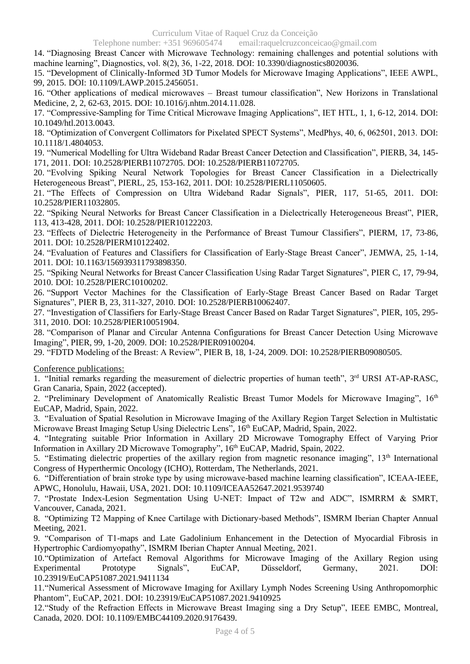Telephone number: +351 969605474 email:raquelcruzconceicao@gmail.com

14. "Diagnosing Breast Cancer with Microwave Technology: remaining challenges and potential solutions with machine learning", Diagnostics, vol. 8(2), 36, 1-22, 2018. DOI: 10.3390/diagnostics8020036.

15. "Development of Clinically-Informed 3D Tumor Models for Microwave Imaging Applications", IEEE AWPL, 99, 2015. DOI: 10.1109/LAWP.2015.2456051.

16. "Other applications of medical microwaves – Breast tumour classification", New Horizons in Translational Medicine, 2, 2, 62-63, 2015. DOI: 10.1016/j.nhtm.2014.11.028.

17. "Compressive-Sampling for Time Critical Microwave Imaging Applications", IET HTL, 1, 1, 6-12, 2014. DOI: 10.1049/htl.2013.0043.

18. "Optimization of Convergent Collimators for Pixelated SPECT Systems", MedPhys, 40, 6, 062501, 2013. DOI: 10.1118/1.4804053.

19. "Numerical Modelling for Ultra Wideband Radar Breast Cancer Detection and Classification", PIERB, 34, 145- 171, 2011. DOI: 10.2528/PIERB11072705. DOI: 10.2528/PIERB11072705.

20. "Evolving Spiking Neural Network Topologies for Breast Cancer Classification in a Dielectrically Heterogeneous Breast", PIERL, 25, 153-162, 2011. DOI: 10.2528/PIERL11050605.

21. "The Effects of Compression on Ultra Wideband Radar Signals", PIER, 117, 51-65, 2011. DOI: 10.2528/PIER11032805.

22. "Spiking Neural Networks for Breast Cancer Classification in a Dielectrically Heterogeneous Breast", PIER, 113, 413-428, 2011. DOI: 10.2528/PIER10122203.

23. "Effects of Dielectric Heterogeneity in the Performance of Breast Tumour Classifiers", PIERM, 17, 73-86, 2011. DOI: 10.2528/PIERM10122402.

24. "Evaluation of Features and Classifiers for Classification of Early-Stage Breast Cancer", JEMWA, 25, 1-14, 2011. DOI: 10.1163/156939311793898350.

25. "Spiking Neural Networks for Breast Cancer Classification Using Radar Target Signatures", PIER C, 17, 79-94, 2010. DOI: 10.2528/PIERC10100202.

26. "Support Vector Machines for the Classification of Early-Stage Breast Cancer Based on Radar Target Signatures", PIER B, 23, 311-327, 2010. DOI: 10.2528/PIERB10062407.

27. "Investigation of Classifiers for Early-Stage Breast Cancer Based on Radar Target Signatures", PIER, 105, 295- 311, 2010. DOI: 10.2528/PIER10051904.

28. "Comparison of Planar and Circular Antenna Configurations for Breast Cancer Detection Using Microwave Imaging", PIER, 99, 1-20, 2009. DOI: 10.2528/PIER09100204.

29. "FDTD Modeling of the Breast: A Review", PIER B, 18, 1-24, 2009. DOI: 10.2528/PIERB09080505.

Conference publications:

1. "Initial remarks regarding the measurement of dielectric properties of human teeth", 3<sup>rd</sup> URSI AT-AP-RASC, Gran Canaria, Spain, 2022 (accepted).

2. "Preliminary Development of Anatomically Realistic Breast Tumor Models for Microwave Imaging", 16<sup>th</sup> EuCAP, Madrid, Spain, 2022.

3. "Evaluation of Spatial Resolution in Microwave Imaging of the Axillary Region Target Selection in Multistatic Microwave Breast Imaging Setup Using Dielectric Lens", 16<sup>th</sup> EuCAP, Madrid, Spain, 2022.

4. "Integrating suitable Prior Information in Axillary 2D Microwave Tomography Effect of Varying Prior Information in Axillary 2D Microwave Tomography", 16<sup>th</sup> EuCAP, Madrid, Spain, 2022.

5. "Estimating dielectric properties of the axillary region from magnetic resonance imaging", 13<sup>th</sup> International Congress of Hyperthermic Oncology (ICHO), Rotterdam, The Netherlands, 2021.

6. "Differentiation of brain stroke type by using microwave-based machine learning classification", ICEAA-IEEE, APWC, Honolulu, Hawaii, USA, 2021. DOI: 10.1109/ICEAA52647.2021.9539740

7. "Prostate Index-Lesion Segmentation Using U-NET: Impact of T2w and ADC", ISMRRM & SMRT, Vancouver, Canada, 2021.

8. "Optimizing T2 Mapping of Knee Cartilage with Dictionary-based Methods", ISMRM Iberian Chapter Annual Meeting, 2021.

9. "Comparison of T1-maps and Late Gadolinium Enhancement in the Detection of Myocardial Fibrosis in Hypertrophic Cardiomyopathy", ISMRM Iberian Chapter Annual Meeting, 2021.

10."Optimization of Artefact Removal Algorithms for Microwave Imaging of the Axillary Region using Experimental Prototype Signals", EuCAP, Düsseldorf, Germany, 2021. DOI: 10.23919/EuCAP51087.2021.9411134

11."Numerical Assessment of Microwave Imaging for Axillary Lymph Nodes Screening Using Anthropomorphic Phantom", EuCAP, 2021. DOI: 10.23919/EuCAP51087.2021.9410925

12."Study of the Refraction Effects in Microwave Breast Imaging sing a Dry Setup", IEEE EMBC, Montreal, Canada, 2020. DOI: 10.1109/EMBC44109.2020.9176439.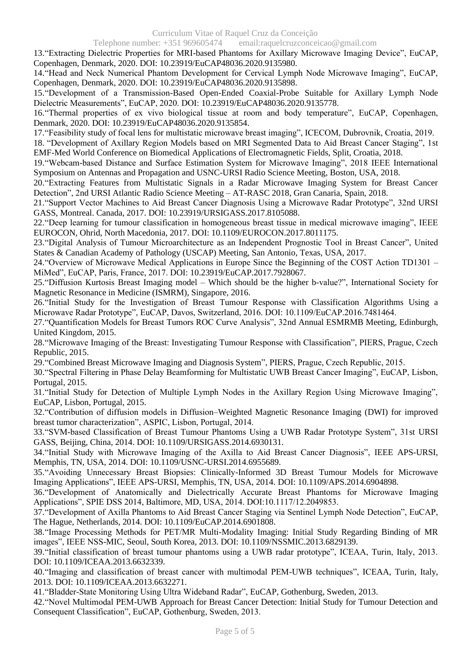#### Telephone number: +351 969605474 email:raquelcruzconceicao@gmail.com

13."Extracting Dielectric Properties for MRI-based Phantoms for Axillary Microwave Imaging Device", EuCAP, Copenhagen, Denmark, 2020. DOI: 10.23919/EuCAP48036.2020.9135980.

14."Head and Neck Numerical Phantom Development for Cervical Lymph Node Microwave Imaging", EuCAP, Copenhagen, Denmark, 2020. DOI: [10.23919/EuCAP48036.2020.9135898.](https://doi.org/10.23919/EuCAP48036.2020.9135898)

15."Development of a Transmission-Based Open-Ended Coaxial-Probe Suitable for Axillary Lymph Node Dielectric Measurements", EuCAP, 2020. DOI: [10.23919/EuCAP48036.2020.9135778.](https://doi.org/10.23919/EuCAP48036.2020.9135778)

16."Thermal properties of ex vivo biological tissue at room and body temperature", EuCAP, Copenhagen, Denmark, 2020. DOI: 10.23919/EuCAP48036.2020.9135854.

17."Feasibility study of focal lens for multistatic microwave breast imaging", ICECOM, Dubrovnik, Croatia, 2019.

18. "Development of Axillary Region Models based on MRI Segmented Data to Aid Breast Cancer Staging", 1st EMF-Med World Conference on Biomedical Applications of Electromagnetic Fields, Split, Croatia, 2018.

19."Webcam-based Distance and Surface Estimation System for Microwave Imaging", 2018 IEEE International Symposium on Antennas and Propagation and USNC-URSI Radio Science Meeting, Boston, USA, 2018.

20."Extracting Features from Multistatic Signals in a Radar Microwave Imaging System for Breast Cancer Detection", 2nd URSI Atlantic Radio Science Meeting – AT-RASC 2018, Gran Canaria, Spain, 2018.

21."Support Vector Machines to Aid Breast Cancer Diagnosis Using a Microwave Radar Prototype", 32nd URSI GASS, Montreal. Canada, 2017. DOI: 10.23919/URSIGASS.2017.8105088.

22."Deep learning for tumour classification in homogeneous breast tissue in medical microwave imaging", IEEE EUROCON, Ohrid, North Macedonia, 2017. DOI: 10.1109/EUROCON.2017.8011175.

23."Digital Analysis of Tumour Microarchitecture as an Independent Prognostic Tool in Breast Cancer", United States & Canadian Academy of Pathology (USCAP) Meeting, San Antonio, Texas, USA, 2017.

24."Overview of Microwave Medical Applications in Europe Since the Beginning of the COST Action TD1301 – MiMed", EuCAP, Paris, France, 2017. DOI: 10.23919/EuCAP.2017.7928067.

25."Diffusion Kurtosis Breast Imaging model – Which should be the higher b-value?", International Society for Magnetic Resonance in Medicine (ISMRM), Singapore, 2016.

26."Initial Study for the Investigation of Breast Tumour Response with Classification Algorithms Using a Microwave Radar Prototype", EuCAP, Davos, Switzerland, 2016. DOI: 10.1109/EuCAP.2016.7481464.

27."Quantification Models for Breast Tumors ROC Curve Analysis", 32nd Annual ESMRMB Meeting, Edinburgh, United Kingdom, 2015.

28."Microwave Imaging of the Breast: Investigating Tumour Response with Classification", PIERS, Prague, Czech Republic, 2015.

29."Combined Breast Microwave Imaging and Diagnosis System", PIERS, Prague, Czech Republic, 2015.

30."Spectral Filtering in Phase Delay Beamforming for Multistatic UWB Breast Cancer Imaging", EuCAP, Lisbon, Portugal, 2015.

31."Initial Study for Detection of Multiple Lymph Nodes in the Axillary Region Using Microwave Imaging", EuCAP, Lisbon, Portugal, 2015.

32."Contribution of diffusion models in Diffusion–Weighted Magnetic Resonance Imaging (DWI) for improved breast tumor characterization", ASPIC, Lisbon, Portugal, 2014.

33."SVM-based Classification of Breast Tumour Phantoms Using a UWB Radar Prototype System", 31st URSI GASS, Beijing, China, 2014. DOI: 10.1109/URSIGASS.2014.6930131.

34."Initial Study with Microwave Imaging of the Axilla to Aid Breast Cancer Diagnosis", IEEE APS-URSI, Memphis, TN, USA, 2014. DOI: 10.1109/USNC-URSI.2014.6955689.

35."Avoiding Unnecessary Breast Biopsies: Clinically-Informed 3D Breast Tumour Models for Microwave Imaging Applications", IEEE APS-URSI, Memphis, TN, USA, 2014. DOI: 10.1109/APS.2014.6904898.

36."Development of Anatomically and Dielectrically Accurate Breast Phantoms for Microwave Imaging Applications", SPIE DSS 2014, Baltimore, MD, USA, 2014. DOI:10.1117/12.2049853.

37."Development of Axilla Phantoms to Aid Breast Cancer Staging via Sentinel Lymph Node Detection", EuCAP, The Hague, Netherlands, 2014. DOI: 10.1109/EuCAP.2014.6901808.

38."Image Processing Methods for PET/MR Multi-Modality Imaging: Initial Study Regarding Binding of MR images", IEEE NSS-MIC, Seoul, South Korea, 2013. DOI: 10.1109/NSSMIC.2013.6829139.

39."Initial classification of breast tumour phantoms using a UWB radar prototype", ICEAA, Turin, Italy, 2013. DOI: 10.1109/ICEAA.2013.6632339.

40."Imaging and classification of breast cancer with multimodal PEM-UWB techniques", ICEAA, Turin, Italy, 2013. DOI: 10.1109/ICEAA.2013.6632271.

41."Bladder-State Monitoring Using Ultra Wideband Radar", EuCAP, Gothenburg, Sweden, 2013.

42."Novel Multimodal PEM-UWB Approach for Breast Cancer Detection: Initial Study for Tumour Detection and Consequent Classification", EuCAP, Gothenburg, Sweden, 2013.